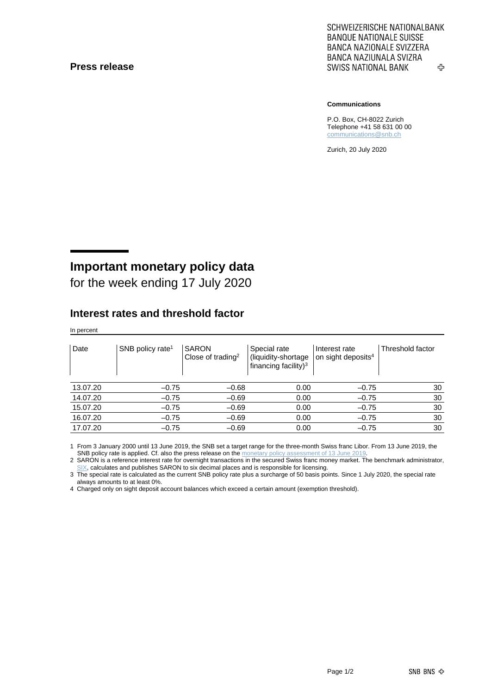#### **Press release**

SCHWEIZERISCHE NATIONALBANK **BANQUE NATIONALE SUISSE BANCA NAZIONALE SVIZZERA** BANCA NAZIUNALA SVIZRA **SWISS NATIONAL BANK** ኇ

#### **Communications**

P.O. Box, CH-8022 Zurich Telephone +41 58 631 00 00 [communications@snb.ch](mailto:communications@snb.ch)

Zurich, 20 July 2020

# **Important monetary policy data**

for the week ending 17 July 2020

### **Interest rates and threshold factor**

In percent

| Date     | SNB policy rate <sup>1</sup> | <b>SARON</b><br>Special rate<br>Close of trading <sup>2</sup><br>(liquidity-shortage<br>financing facility) <sup>3</sup> |      | Interest rate<br>on sight deposits <sup>4</sup> | Threshold factor |
|----------|------------------------------|--------------------------------------------------------------------------------------------------------------------------|------|-------------------------------------------------|------------------|
| 13.07.20 | $-0.75$                      | $-0.68$                                                                                                                  | 0.00 | $-0.75$                                         | 30               |
| 14.07.20 | $-0.75$                      | $-0.69$                                                                                                                  | 0.00 | $-0.75$                                         | 30               |
| 15.07.20 | $-0.75$                      | $-0.69$                                                                                                                  | 0.00 | $-0.75$                                         | 30               |
| 16.07.20 | $-0.75$                      | $-0.69$                                                                                                                  | 0.00 | $-0.75$                                         | 30               |
| 17.07.20 | $-0.75$                      | $-0.69$                                                                                                                  | 0.00 | $-0.75$                                         | 30               |

1 From 3 January 2000 until 13 June 2019, the SNB set a target range for the three-month Swiss franc Libor. From 13 June 2019, the SNB policy rate is applied. Cf. also the press release on th[e monetary policy assessment of 13](https://www.snb.ch/en/mmr/reference/pre_20190613/source/pre_20190613.en.pdf) June 201

2 SARON is a reference interest rate for overnight transactions in the secured Swiss franc money market. The benchmark administrator, [SIX,](https://www.six-group.com/exchanges/indices/data_centre/swiss_reference_rates/reference_rates_en.html) calculates and publishes SARON to six decimal places and is responsible for licensing.

3 The special rate is calculated as the current SNB policy rate plus a surcharge of 50 basis points. Since 1 July 2020, the special rate always amounts to at least 0%.

4 Charged only on sight deposit account balances which exceed a certain amount (exemption threshold).